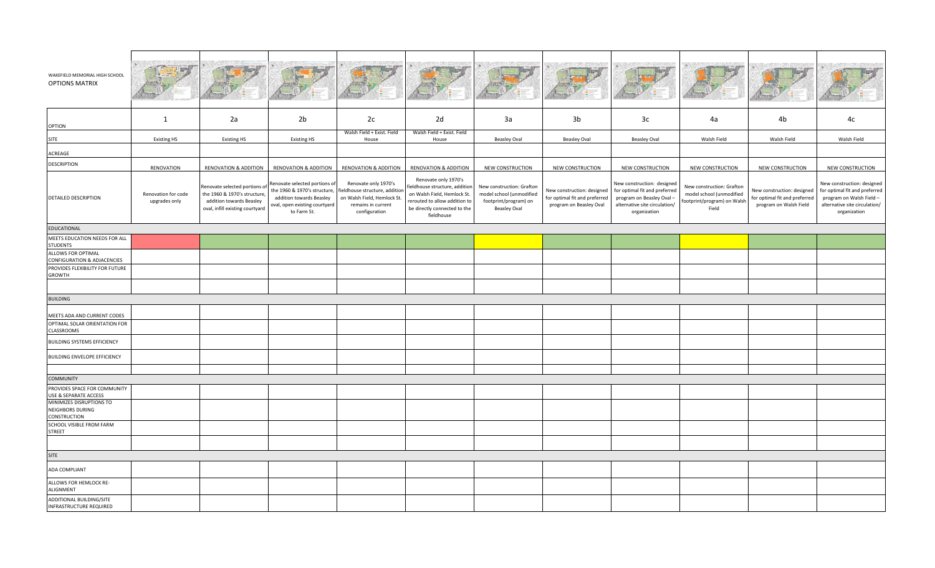| WAKEFIELD MEMORIAL HIGH SCHOOL<br><b>OPTIONS MATRIX</b> |                                      |                                                                                                                              |                                                                                                                                           |                                                                                                                              |                                                                                                                                                                    |                                                                                                       |                                                                                        |                                                                                                                                          |                                                                                               |                                                                                       |                                                                                                                                          |
|---------------------------------------------------------|--------------------------------------|------------------------------------------------------------------------------------------------------------------------------|-------------------------------------------------------------------------------------------------------------------------------------------|------------------------------------------------------------------------------------------------------------------------------|--------------------------------------------------------------------------------------------------------------------------------------------------------------------|-------------------------------------------------------------------------------------------------------|----------------------------------------------------------------------------------------|------------------------------------------------------------------------------------------------------------------------------------------|-----------------------------------------------------------------------------------------------|---------------------------------------------------------------------------------------|------------------------------------------------------------------------------------------------------------------------------------------|
| <b>OPTION</b>                                           | 1                                    | 2a                                                                                                                           | 2 <sub>b</sub>                                                                                                                            | 2c                                                                                                                           | 2d                                                                                                                                                                 | 3a                                                                                                    | 3b                                                                                     | 3c                                                                                                                                       | 4a                                                                                            | 4b                                                                                    | 4c                                                                                                                                       |
|                                                         |                                      |                                                                                                                              |                                                                                                                                           | Walsh Field + Exist. Field                                                                                                   | Walsh Field + Exist. Field                                                                                                                                         |                                                                                                       |                                                                                        |                                                                                                                                          | Walsh Field                                                                                   | Walsh Field                                                                           | Walsh Field                                                                                                                              |
| <b>SITE</b>                                             | <b>Existing HS</b>                   | <b>Existing HS</b>                                                                                                           | <b>Existing HS</b>                                                                                                                        | House                                                                                                                        | House                                                                                                                                                              | <b>Beasley Oval</b>                                                                                   | <b>Beasley Oval</b>                                                                    | <b>Beasley Oval</b>                                                                                                                      |                                                                                               |                                                                                       |                                                                                                                                          |
| ACREAGE                                                 |                                      |                                                                                                                              |                                                                                                                                           |                                                                                                                              |                                                                                                                                                                    |                                                                                                       |                                                                                        |                                                                                                                                          |                                                                                               |                                                                                       |                                                                                                                                          |
| <b>DESCRIPTION</b>                                      | RENOVATION                           | <b>RENOVATION &amp; ADDITION</b>                                                                                             | <b>RENOVATION &amp; ADDITION</b>                                                                                                          | RENOVATION & ADDITION                                                                                                        | <b>RENOVATION &amp; ADDITION</b>                                                                                                                                   | NEW CONSTRUCTION                                                                                      | NEW CONSTRUCTION                                                                       | NEW CONSTRUCTION                                                                                                                         | NEW CONSTRUCTION                                                                              | NEW CONSTRUCTION                                                                      | NEW CONSTRUCTION                                                                                                                         |
| DETAILED DESCRIPTION                                    | Renovation for code<br>upgrades only | Renovate selected portions of<br>the 1960 & 1970's structure,<br>addition towards Beasley<br>oval, infill existing courtyard | Renovate selected portions of<br>the 1960 & 1970's structure,<br>addition towards Beasley<br>oval, open existing courtyard<br>to Farm St. | Renovate only 1970's<br>fieldhouse structure, additior<br>on Walsh Field, Hemlock St.<br>remains in current<br>configuration | Renovate only 1970's<br>ieldhouse structure, additior<br>on Walsh Field, Hemlock St.<br>erouted to allow addition to<br>be directly connected to the<br>fieldhouse | New construction: Grafton<br>model school (unmodified<br>footprint/program) on<br><b>Beasley Oval</b> | New construction: designed<br>for optimal fit and preferred<br>program on Beasley Oval | New construction: designed<br>for optimal fit and preferred<br>program on Beasley Oval-<br>alternative site circulation/<br>organization | New construction: Grafton<br>model school (unmodified<br>footprint/program) on Walsh<br>Field | New construction: designed<br>for optimal fit and preferred<br>program on Walsh Field | New construction: designed<br>for optimal fit and preferred<br>program on Walsh Field -<br>alternative site circulation/<br>organization |
| <b>EDUCATIONAL</b>                                      |                                      |                                                                                                                              |                                                                                                                                           |                                                                                                                              |                                                                                                                                                                    |                                                                                                       |                                                                                        |                                                                                                                                          |                                                                                               |                                                                                       |                                                                                                                                          |
| MEETS EDUCATION NEEDS FOR ALL<br>STUDENTS               |                                      |                                                                                                                              |                                                                                                                                           |                                                                                                                              |                                                                                                                                                                    |                                                                                                       |                                                                                        |                                                                                                                                          |                                                                                               |                                                                                       |                                                                                                                                          |
| ALLOWS FOR OPTIMAL                                      |                                      |                                                                                                                              |                                                                                                                                           |                                                                                                                              |                                                                                                                                                                    |                                                                                                       |                                                                                        |                                                                                                                                          |                                                                                               |                                                                                       |                                                                                                                                          |
| <b>CONFIGURATION &amp; ADJACENCIES</b>                  |                                      |                                                                                                                              |                                                                                                                                           |                                                                                                                              |                                                                                                                                                                    |                                                                                                       |                                                                                        |                                                                                                                                          |                                                                                               |                                                                                       |                                                                                                                                          |
| PROVIDES FLEXIBILITY FOR FUTURE<br><b>GROWTH</b>        |                                      |                                                                                                                              |                                                                                                                                           |                                                                                                                              |                                                                                                                                                                    |                                                                                                       |                                                                                        |                                                                                                                                          |                                                                                               |                                                                                       |                                                                                                                                          |
|                                                         |                                      |                                                                                                                              |                                                                                                                                           |                                                                                                                              |                                                                                                                                                                    |                                                                                                       |                                                                                        |                                                                                                                                          |                                                                                               |                                                                                       |                                                                                                                                          |
| <b>BUILDING</b>                                         |                                      |                                                                                                                              |                                                                                                                                           |                                                                                                                              |                                                                                                                                                                    |                                                                                                       |                                                                                        |                                                                                                                                          |                                                                                               |                                                                                       |                                                                                                                                          |
|                                                         |                                      |                                                                                                                              |                                                                                                                                           |                                                                                                                              |                                                                                                                                                                    |                                                                                                       |                                                                                        |                                                                                                                                          |                                                                                               |                                                                                       |                                                                                                                                          |
| MEETS ADA AND CURRENT CODES                             |                                      |                                                                                                                              |                                                                                                                                           |                                                                                                                              |                                                                                                                                                                    |                                                                                                       |                                                                                        |                                                                                                                                          |                                                                                               |                                                                                       |                                                                                                                                          |
| OPTIMAL SOLAR ORIENTATION FOR<br>CLASSROOMS             |                                      |                                                                                                                              |                                                                                                                                           |                                                                                                                              |                                                                                                                                                                    |                                                                                                       |                                                                                        |                                                                                                                                          |                                                                                               |                                                                                       |                                                                                                                                          |
| <b>BUILDING SYSTEMS EFFICIENCY</b>                      |                                      |                                                                                                                              |                                                                                                                                           |                                                                                                                              |                                                                                                                                                                    |                                                                                                       |                                                                                        |                                                                                                                                          |                                                                                               |                                                                                       |                                                                                                                                          |
| <b>BUILDING ENVELOPE EFFICIENCY</b>                     |                                      |                                                                                                                              |                                                                                                                                           |                                                                                                                              |                                                                                                                                                                    |                                                                                                       |                                                                                        |                                                                                                                                          |                                                                                               |                                                                                       |                                                                                                                                          |
|                                                         |                                      |                                                                                                                              |                                                                                                                                           |                                                                                                                              |                                                                                                                                                                    |                                                                                                       |                                                                                        |                                                                                                                                          |                                                                                               |                                                                                       |                                                                                                                                          |
| <b>COMMUNITY</b>                                        |                                      |                                                                                                                              |                                                                                                                                           |                                                                                                                              |                                                                                                                                                                    |                                                                                                       |                                                                                        |                                                                                                                                          |                                                                                               |                                                                                       |                                                                                                                                          |
| PROVIDES SPACE FOR COMMUNITY<br>USE & SEPARATE ACCESS   |                                      |                                                                                                                              |                                                                                                                                           |                                                                                                                              |                                                                                                                                                                    |                                                                                                       |                                                                                        |                                                                                                                                          |                                                                                               |                                                                                       |                                                                                                                                          |
| MINIMIZES DISRUPTIONS TO<br>NEIGHBORS DURING            |                                      |                                                                                                                              |                                                                                                                                           |                                                                                                                              |                                                                                                                                                                    |                                                                                                       |                                                                                        |                                                                                                                                          |                                                                                               |                                                                                       |                                                                                                                                          |
| CONSTRUCTION                                            |                                      |                                                                                                                              |                                                                                                                                           |                                                                                                                              |                                                                                                                                                                    |                                                                                                       |                                                                                        |                                                                                                                                          |                                                                                               |                                                                                       |                                                                                                                                          |
| SCHOOL VISIBLE FROM FARM                                |                                      |                                                                                                                              |                                                                                                                                           |                                                                                                                              |                                                                                                                                                                    |                                                                                                       |                                                                                        |                                                                                                                                          |                                                                                               |                                                                                       |                                                                                                                                          |
| <b>STREET</b>                                           |                                      |                                                                                                                              |                                                                                                                                           |                                                                                                                              |                                                                                                                                                                    |                                                                                                       |                                                                                        |                                                                                                                                          |                                                                                               |                                                                                       |                                                                                                                                          |
|                                                         |                                      |                                                                                                                              |                                                                                                                                           |                                                                                                                              |                                                                                                                                                                    |                                                                                                       |                                                                                        |                                                                                                                                          |                                                                                               |                                                                                       |                                                                                                                                          |
| SITE                                                    |                                      |                                                                                                                              |                                                                                                                                           |                                                                                                                              |                                                                                                                                                                    |                                                                                                       |                                                                                        |                                                                                                                                          |                                                                                               |                                                                                       |                                                                                                                                          |
| ADA COMPLIANT                                           |                                      |                                                                                                                              |                                                                                                                                           |                                                                                                                              |                                                                                                                                                                    |                                                                                                       |                                                                                        |                                                                                                                                          |                                                                                               |                                                                                       |                                                                                                                                          |
| ALLOWS FOR HEMLOCK RE-<br>ALIGNMENT                     |                                      |                                                                                                                              |                                                                                                                                           |                                                                                                                              |                                                                                                                                                                    |                                                                                                       |                                                                                        |                                                                                                                                          |                                                                                               |                                                                                       |                                                                                                                                          |
| ADDITIONAL BUILDING/SITE<br>INFRASTRUCTURE REQUIRED     |                                      |                                                                                                                              |                                                                                                                                           |                                                                                                                              |                                                                                                                                                                    |                                                                                                       |                                                                                        |                                                                                                                                          |                                                                                               |                                                                                       |                                                                                                                                          |